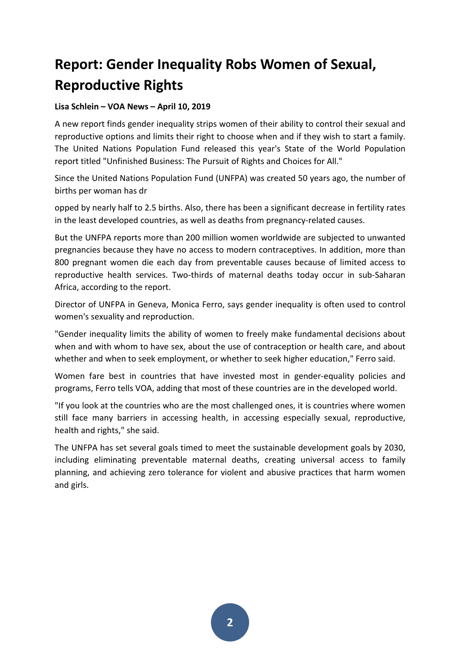## **Report: Gender Inequality Robs Women of Sexual, Reproductive Rights**

### **Lisa Schlein – VOA News – April 10, 2019**

A new report finds gender inequality strips women of their ability to control their sexual and reproductive options and limits their right to choose when and if they wish to start a family. The United Nations Population Fund released this year's State of the World Population report titled "Unfinished Business: The Pursuit of Rights and Choices for All."

Since the United Nations Population Fund (UNFPA) was created 50 years ago, the number of births per woman has dr

opped by nearly half to 2.5 births. Also, there has been a significant decrease in fertility rates in the least developed countries, as well as deaths from pregnancy-related causes.

But the UNFPA reports more than 200 million women worldwide are subjected to unwanted pregnancies because they have no access to modern contraceptives. In addition, more than 800 pregnant women die each day from preventable causes because of limited access to reproductive health services. Two-thirds of maternal deaths today occur in sub-Saharan Africa, according to the report.

Director of UNFPA in Geneva, Monica Ferro, says gender inequality is often used to control women's sexuality and reproduction.

"Gender inequality limits the ability of women to freely make fundamental decisions about when and with whom to have sex, about the use of contraception or health care, and about whether and when to seek employment, or whether to seek higher education," Ferro said.

Women fare best in countries that have invested most in gender-equality policies and programs, Ferro tells VOA, adding that most of these countries are in the developed world.

"If you look at the countries who are the most challenged ones, it is countries where women still face many barriers in accessing health, in accessing especially sexual, reproductive, health and rights," she said.

The UNFPA has set several goals timed to meet the sustainable development goals by 2030, including eliminating preventable maternal deaths, creating universal access to family planning, and achieving zero tolerance for violent and abusive practices that harm women and girls.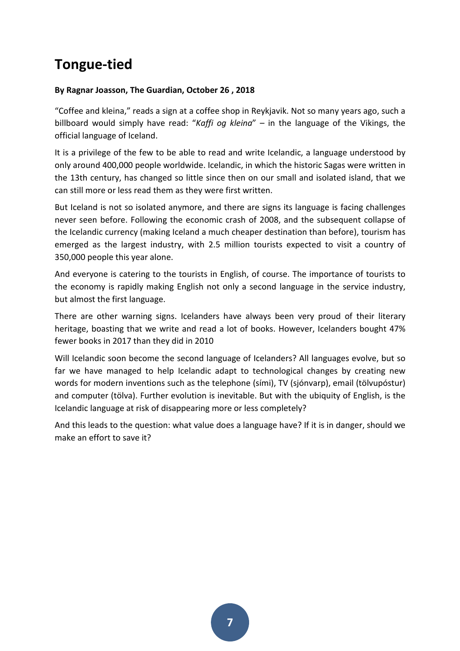### **Tongue-tied**

#### **By Ragnar Joasson, The Guardian, October 26 , 2018**

"Coffee and kleina," reads a sign at a coffee shop in Reykjavik. Not so many years ago, such a billboard would simply have read: "*Kaffi og kleina*" – in the language of the Vikings, the official language of Iceland.

It is a privilege of the few to be able to read and write Icelandic, a language understood by only around 400,000 people worldwide. Icelandic, in which the historic Sagas were written in the 13th century, has changed so little since then on our small and isolated island, that we can still more or less read them as they were first written.

But Iceland is not so isolated anymore, and there are signs its language is facing challenges never seen before. Following the economic crash of 2008, and the subsequent collapse of the Icelandic currency (making Iceland a much cheaper destination than before), tourism has emerged as the largest industry, with 2.5 million tourists expected to visit a country of 350,000 people this year alone.

And everyone is catering to the tourists in English, of course. The importance of tourists to the economy is rapidly making English not only a second language in the service industry, but almost the first language.

There are other warning signs. Icelanders have always been very proud of their literary heritage, boasting that we write and read a lot of books. However, Icelanders bought 47% fewer books in 2017 than they did in 2010

Will Icelandic soon become the second language of Icelanders? All languages evolve, but so far we have managed to help Icelandic adapt to technological changes by creating new words for modern inventions such as the telephone (sími), TV (sjónvarp), email (tölvupóstur) and computer (tölva). Further evolution is inevitable. But with the ubiquity of English, is the Icelandic language at risk of disappearing more or less completely?

And this leads to the question: what value does a language have? If it is in danger, should we make an effort to save it?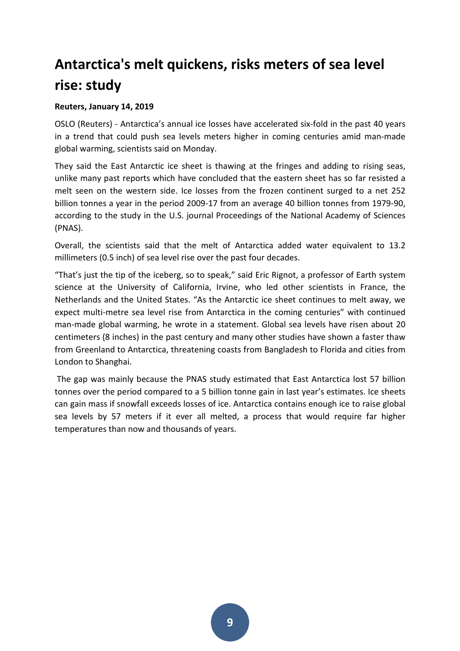## **Antarctica's melt quickens, risks meters of sea level rise: study**

#### **Reuters, January 14, 2019**

OSLO (Reuters) - Antarctica's annual ice losses have accelerated six-fold in the past 40 years in a trend that could push sea levels meters higher in coming centuries amid man-made global warming, scientists said on Monday.

They said the East Antarctic ice sheet is thawing at the fringes and adding to rising seas, unlike many past reports which have concluded that the eastern sheet has so far resisted a melt seen on the western side. Ice losses from the frozen continent surged to a net 252 billion tonnes a year in the period 2009-17 from an average 40 billion tonnes from 1979-90, according to the study in the U.S. journal Proceedings of the National Academy of Sciences (PNAS).

Overall, the scientists said that the melt of Antarctica added water equivalent to 13.2 millimeters (0.5 inch) of sea level rise over the past four decades.

"That's just the tip of the iceberg, so to speak," said Eric Rignot, a professor of Earth system science at the University of California, Irvine, who led other scientists in France, the Netherlands and the United States. "As the Antarctic ice sheet continues to melt away, we expect multi-metre sea level rise from Antarctica in the coming centuries" with continued man-made global warming, he wrote in a statement. Global sea levels have risen about 20 centimeters (8 inches) in the past century and many other studies have shown a faster thaw from Greenland to Antarctica, threatening coasts from Bangladesh to Florida and cities from London to Shanghai.

 The gap was mainly because the PNAS study estimated that East Antarctica lost 57 billion tonnes over the period compared to a 5 billion tonne gain in last year's estimates. Ice sheets can gain mass if snowfall exceeds losses of ice. Antarctica contains enough ice to raise global sea levels by 57 meters if it ever all melted, a process that would require far higher temperatures than now and thousands of years.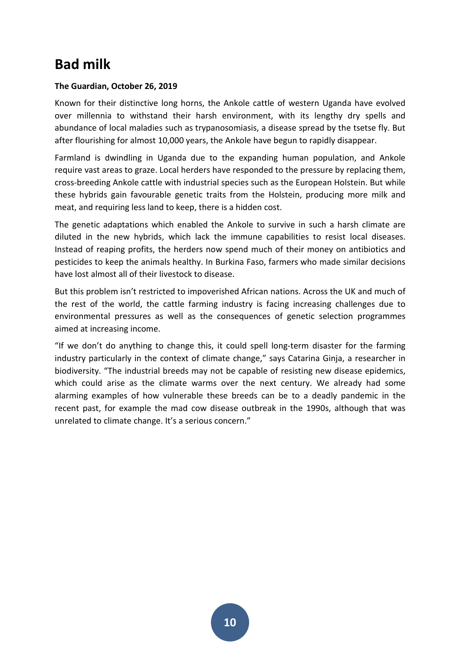### **Bad milk**

### **The Guardian, October 26, 2019**

Known for their distinctive long horns, the Ankole cattle of western Uganda have evolved over millennia to withstand their harsh environment, with its lengthy dry spells and abundance of local maladies such as trypanosomiasis, a disease spread by the tsetse fly. But after flourishing for almost 10,000 years, the Ankole have begun to rapidly disappear.

Farmland is dwindling in Uganda due to the expanding human population, and Ankole require vast areas to graze. Local herders have responded to the pressure by replacing them, cross-breeding Ankole cattle with industrial species such as the European Holstein. But while these hybrids gain favourable genetic traits from the Holstein, producing more milk and meat, and requiring less land to keep, there is a hidden cost.

The genetic adaptations which enabled the Ankole to survive in such a harsh climate are diluted in the new hybrids, which lack the immune capabilities to resist local diseases. Instead of reaping profits, the herders now spend much of their money on antibiotics and pesticides to keep the animals healthy. In Burkina Faso, farmers who made similar decisions have lost almost all of their livestock to disease.

But this problem isn't restricted to impoverished African nations. Across the UK and much of the rest of the world, the cattle farming industry is facing increasing challenges due to environmental pressures as well as the consequences of genetic selection programmes aimed at increasing income.

"If we don't do anything to change this, it could spell long-term disaster for the farming industry particularly in the context of climate change," says Catarina Ginja, a researcher in biodiversity. "The industrial breeds may not be capable of resisting new disease epidemics, which could arise as the climate warms over the next century. We already had some alarming examples of how vulnerable these breeds can be to a deadly pandemic in the recent past, for example the mad cow disease outbreak in the 1990s, although that was unrelated to climate change. It's a serious concern."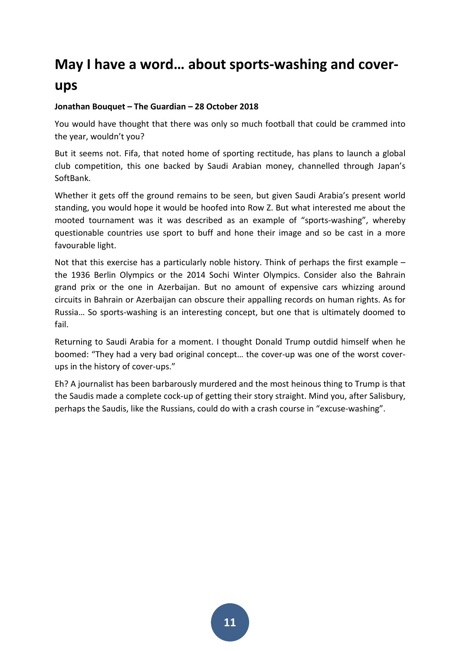# **May I have a word… about sports-washing and coverups**

### **Jonathan Bouquet – The Guardian – 28 October 2018**

You would have thought that there was only so much football that could be crammed into the year, wouldn't you?

But it seems not. Fifa, that noted home of sporting rectitude, has plans to launch a global club competition, this one backed by Saudi Arabian money, channelled through Japan's SoftBank.

Whether it gets off the ground remains to be seen, but given Saudi Arabia's present world standing, you would hope it would be hoofed into Row Z. But what interested me about the mooted tournament was it was described as an example of "sports-washing", whereby questionable countries use sport to buff and hone their image and so be cast in a more favourable light.

Not that this exercise has a particularly noble history. Think of perhaps the first example – the 1936 Berlin Olympics or the 2014 Sochi Winter Olympics. Consider also the Bahrain grand prix or the one in Azerbaijan. But no amount of expensive cars whizzing around circuits in Bahrain or Azerbaijan can obscure their appalling records on human rights. As for Russia… So sports-washing is an interesting concept, but one that is ultimately doomed to fail.

Returning to Saudi Arabia for a moment. I thought Donald Trump outdid himself when he boomed: "They had a very bad original concept… the cover-up was one of the worst coverups in the history of cover-ups."

Eh? A journalist has been barbarously murdered and the most heinous thing to Trump is that the Saudis made a complete cock-up of getting their story straight. Mind you, after Salisbury, perhaps the Saudis, like the Russians, could do with a crash course in "excuse-washing".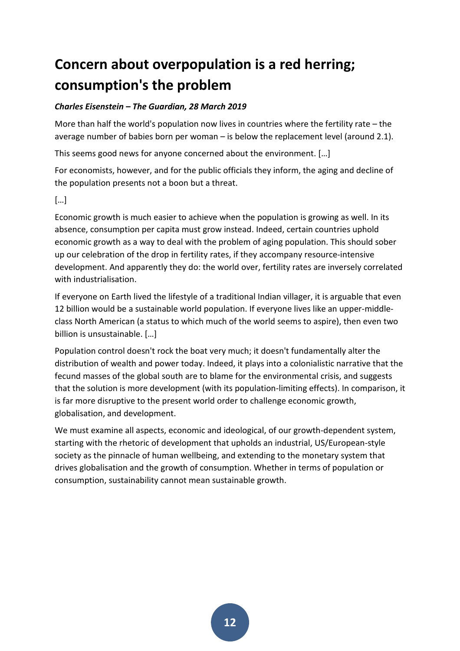## **Concern about overpopulation is a red herring; consumption's the problem**

### *Charles Eisenstein – The Guardian, 28 March 2019*

More than half the world's population now lives in countries where the fertility rate – the average number of babies born per woman – is below the replacement level (around 2.1).

This seems good news for anyone concerned about the environment. […]

For economists, however, and for the public officials they inform, the aging and decline of the population presents not a boon but a threat.

### $\lceil$ ...]

Economic growth is much easier to achieve when the population is growing as well. In its absence, consumption per capita must grow instead. Indeed, certain countries uphold economic growth as a way to deal with the problem of aging population. This should sober up our celebration of the drop in fertility rates, if they accompany resource-intensive development. And apparently they do: the world over, fertility rates are inversely correlated with industrialisation.

If everyone on Earth lived the lifestyle of a traditional Indian villager, it is arguable that even 12 billion would be a sustainable world population. If everyone lives like an upper-middleclass North American (a status to which much of the world seems to aspire), then even two billion is unsustainable. […]

Population control doesn't rock the boat very much; it doesn't fundamentally alter the distribution of wealth and power today. Indeed, it plays into a colonialistic narrative that the fecund masses of the global south are to blame for the environmental crisis, and suggests that the solution is more development (with its population-limiting effects). In comparison, it is far more disruptive to the present world order to challenge economic growth, globalisation, and development.

We must examine all aspects, economic and ideological, of our growth-dependent system, starting with the rhetoric of development that upholds an industrial, US/European-style society as the pinnacle of human wellbeing, and extending to the monetary system that drives globalisation and the growth of consumption. Whether in terms of population or consumption, sustainability cannot mean sustainable growth.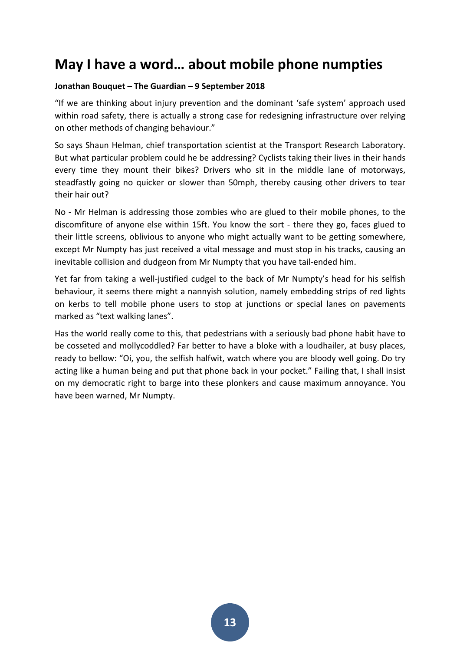### **May I have a word… about mobile phone numpties**

#### **Jonathan Bouquet – The Guardian – 9 September 2018**

"If we are thinking about injury prevention and the dominant 'safe system' approach used within road safety, there is actually a strong case for redesigning infrastructure over relying on other methods of changing behaviour."

So says Shaun Helman, chief transportation scientist at the Transport Research Laboratory. But what particular problem could he be addressing? Cyclists taking their lives in their hands every time they mount their bikes? Drivers who sit in the middle lane of motorways, steadfastly going no quicker or slower than 50mph, thereby causing other drivers to tear their hair out?

No - Mr Helman is addressing those zombies who are glued to their mobile phones, to the discomfiture of anyone else within 15ft. You know the sort - there they go, faces glued to their little screens, oblivious to anyone who might actually want to be getting somewhere, except Mr Numpty has just received a vital message and must stop in his tracks, causing an inevitable collision and dudgeon from Mr Numpty that you have tail-ended him.

Yet far from taking a well-justified cudgel to the back of Mr Numpty's head for his selfish behaviour, it seems there might a nannyish solution, namely embedding strips of red lights on kerbs to tell mobile phone users to stop at junctions or special lanes on pavements marked as "text walking lanes".

Has the world really come to this, that pedestrians with a seriously bad phone habit have to be cosseted and mollycoddled? Far better to have a bloke with a loudhailer, at busy places, ready to bellow: "Oi, you, the selfish halfwit, watch where you are bloody well going. Do try acting like a human being and put that phone back in your pocket." Failing that, I shall insist on my democratic right to barge into these plonkers and cause maximum annoyance. You have been warned, Mr Numpty.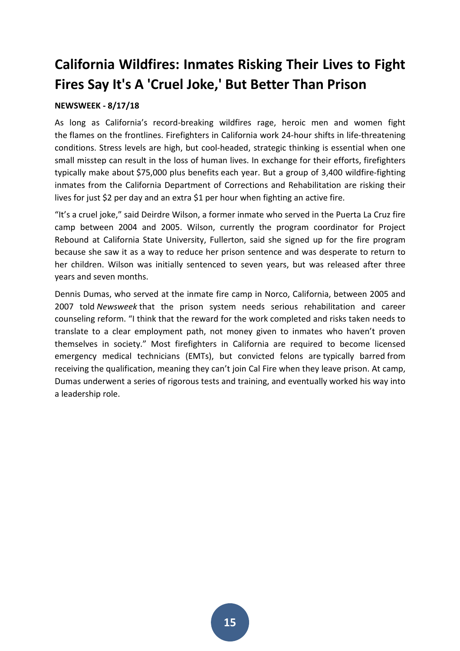### **California Wildfires: Inmates Risking Their Lives to Fight Fires Say It's A 'Cruel Joke,' But Better Than Prison**

### **NEWSWEEK - 8/17/18**

As long as California's record-breaking wildfires rage, heroic men and women fight the flames on the frontlines. Firefighters in California work 24-hour shifts in life-threatening conditions. Stress levels are high, but cool-headed, strategic thinking is essential when one small misstep can result in the loss of human lives. In exchange for their efforts, firefighters typically make about \$75,000 plus benefits each year. But a group of 3,400 wildfire-fighting inmates from the California Department of Corrections and Rehabilitation are risking their lives for just \$2 per day and an extra \$1 per hour when fighting an active fire.

"It's a cruel joke," said Deirdre Wilson, a former inmate who served in the Puerta La Cruz fire camp between 2004 and 2005. Wilson, currently the program coordinator for Project Rebound at California State University, Fullerton, said she signed up for the fire program because she saw it as a way to reduce her prison sentence and was desperate to return to her children. Wilson was initially sentenced to seven years, but was released after three years and seven months.

Dennis Dumas, who served at the inmate fire camp in Norco, California, between 2005 and 2007 told *Newsweek* that the prison system needs serious rehabilitation and career counseling reform. "I think that the reward for the work completed and risks taken needs to translate to a clear employment path, not money given to inmates who haven't proven themselves in society." Most firefighters in California are required to become licensed emergency medical technicians (EMTs), but convicted felons are typically barred from receiving the qualification, meaning they can't join Cal Fire when they leave prison. At camp, Dumas underwent a series of rigorous tests and training, and eventually worked his way into a leadership role.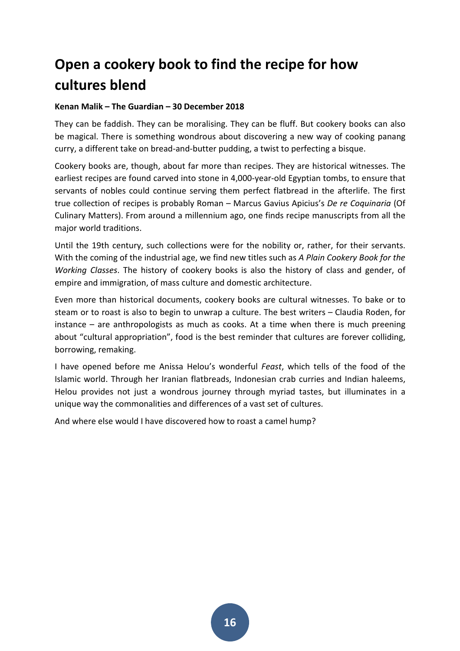## **Open a cookery book to find the recipe for how cultures blend**

### **Kenan Malik – The Guardian – 30 December 2018**

They can be faddish. They can be moralising. They can be fluff. But cookery books can also be magical. There is something wondrous about discovering a new way of cooking panang curry, a different take on bread-and-butter pudding, a twist to perfecting a bisque.

Cookery books are, though, about far more than recipes. They are historical witnesses. The earliest recipes are found carved into stone in 4,000-year-old Egyptian tombs, to ensure that servants of nobles could continue serving them perfect flatbread in the afterlife. The first true collection of recipes is probably Roman – Marcus Gavius Apicius's *De re Coquinaria* (Of Culinary Matters). From around a millennium ago, one finds recipe manuscripts from all the major world traditions.

Until the 19th century, such collections were for the nobility or, rather, for their servants. With the coming of the industrial age, we find new titles such as *A Plain Cookery Book for the Working Classes*. The history of cookery books is also the history of class and gender, of empire and immigration, of mass culture and domestic architecture.

Even more than historical documents, cookery books are cultural witnesses. To bake or to steam or to roast is also to begin to unwrap a culture. The best writers – Claudia Roden, for instance – are anthropologists as much as cooks. At a time when there is much preening about "cultural appropriation", food is the best reminder that cultures are forever colliding, borrowing, remaking.

I have opened before me Anissa Helou's wonderful *Feast*, which tells of the food of the Islamic world. Through her Iranian flatbreads, Indonesian crab curries and Indian haleems, Helou provides not just a wondrous journey through myriad tastes, but illuminates in a unique way the commonalities and differences of a vast set of cultures.

And where else would I have discovered how to roast a camel hump?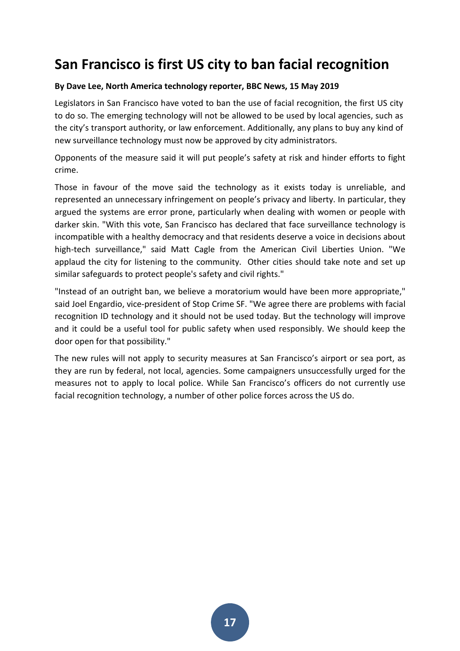### **San Francisco is first US city to ban facial recognition**

### **By Dave Lee, North America technology reporter, BBC News, 15 May 2019**

Legislators in San Francisco have voted to ban the use of facial recognition, the first US city to do so. The emerging technology will not be allowed to be used by local agencies, such as the city's transport authority, or law enforcement. Additionally, any plans to buy any kind of new surveillance technology must now be approved by city administrators.

Opponents of the measure said it will put people's safety at risk and hinder efforts to fight crime.

Those in favour of the move said the technology as it exists today is unreliable, and represented an unnecessary infringement on people's privacy and liberty. In particular, they argued the systems are error prone, particularly when dealing with women or people with darker skin. "With this vote, San Francisco has declared that face surveillance technology is incompatible with a healthy democracy and that residents deserve a voice in decisions about high-tech surveillance," said Matt Cagle from the American Civil Liberties Union. "We applaud the city for listening to the community. Other cities should take note and set up similar safeguards to protect people's safety and civil rights."

"Instead of an outright ban, we believe a moratorium would have been more appropriate," said Joel Engardio, vice-president of Stop Crime SF. "We agree there are problems with facial recognition ID technology and it should not be used today. But the technology will improve and it could be a useful tool for public safety when used responsibly. We should keep the door open for that possibility."

The new rules will not apply to security measures at San Francisco's airport or sea port, as they are run by federal, not local, agencies. Some campaigners unsuccessfully urged for the measures not to apply to local police. While San Francisco's officers do not currently use facial recognition technology, a number of other police forces across the US do.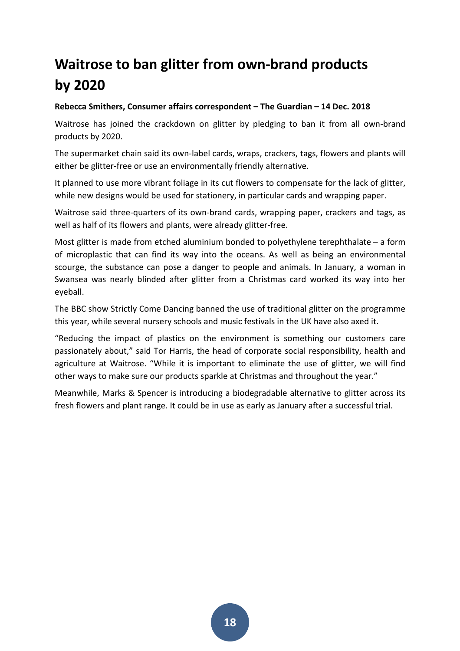## **Waitrose to ban glitter from own-brand products by 2020**

### **Rebecca Smithers, Consumer affairs correspondent – The Guardian – 14 Dec. 2018**

Waitrose has joined the crackdown on glitter by pledging to ban it from all own-brand products by 2020.

The supermarket chain said its own-label cards, wraps, crackers, tags, flowers and plants will either be glitter-free or use an environmentally friendly alternative.

It planned to use more vibrant foliage in its cut flowers to compensate for the lack of glitter, while new designs would be used for stationery, in particular cards and wrapping paper.

Waitrose said three-quarters of its own-brand cards, wrapping paper, crackers and tags, as well as half of its flowers and plants, were already glitter-free.

Most glitter is made from etched aluminium bonded to polyethylene terephthalate – a form of microplastic that can find its way into the oceans. As well as being an environmental scourge, the substance can pose a danger to people and animals. In January, a woman in Swansea was nearly blinded after glitter from a Christmas card worked its way into her eyeball.

The BBC show Strictly Come Dancing banned the use of traditional glitter on the programme this year, while several nursery schools and music festivals in the UK have also axed it.

"Reducing the impact of plastics on the environment is something our customers care passionately about," said Tor Harris, the head of corporate social responsibility, health and agriculture at Waitrose. "While it is important to eliminate the use of glitter, we will find other ways to make sure our products sparkle at Christmas and throughout the year."

Meanwhile, Marks & Spencer is introducing a biodegradable alternative to glitter across its fresh flowers and plant range. It could be in use as early as January after a successful trial.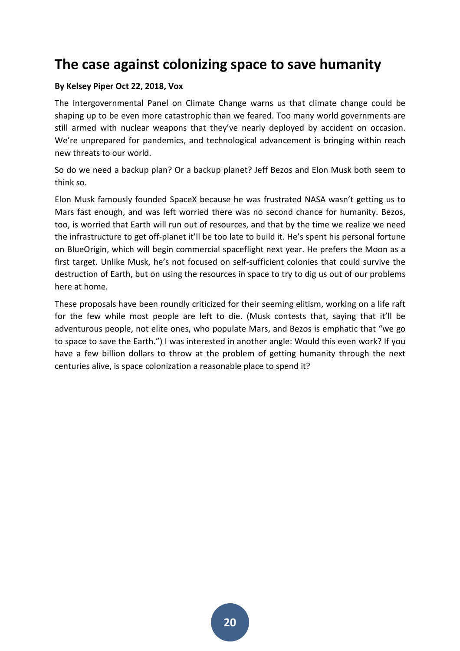### **The case against colonizing space to save humanity**

#### **By Kelsey Piper Oct 22, 2018, Vox**

The Intergovernmental Panel on Climate Change warns us that climate change could be shaping up to be even more catastrophic than we feared. Too many world governments are still armed with nuclear weapons that they've nearly deployed by accident on occasion. We're unprepared for pandemics, and technological advancement is bringing within reach new threats to our world.

So do we need a backup plan? Or a backup planet? Jeff Bezos and Elon Musk both seem to think so.

Elon Musk famously founded SpaceX because he was frustrated NASA wasn't getting us to Mars fast enough, and was left worried there was no second chance for humanity. Bezos, too, is worried that Earth will run out of resources, and that by the time we realize we need the infrastructure to get off-planet it'll be too late to build it. He's spent his personal fortune on BlueOrigin, which will begin commercial spaceflight next year. He prefers the Moon as a first target. Unlike Musk, he's not focused on self-sufficient colonies that could survive the destruction of Earth, but on using the resources in space to try to dig us out of our problems here at home.

These proposals have been roundly criticized for their seeming elitism, working on a life raft for the few while most people are left to die. (Musk contests that, saying that it'll be adventurous people, not elite ones, who populate Mars, and Bezos is emphatic that "we go to space to save the Earth.") I was interested in another angle: Would this even work? If you have a few billion dollars to throw at the problem of getting humanity through the next centuries alive, is space colonization a reasonable place to spend it?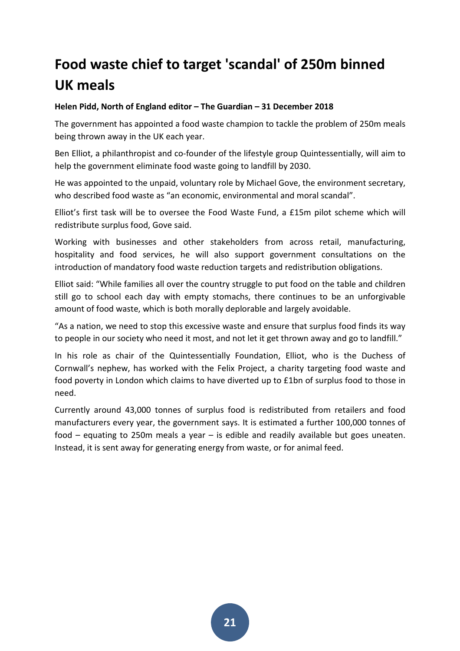# **Food waste chief to target 'scandal' of 250m binned UK meals**

### **Helen Pidd, North of England editor – The Guardian – 31 December 2018**

The government has appointed a food waste champion to tackle the problem of 250m meals being thrown away in the UK each year.

Ben Elliot, a philanthropist and co-founder of the lifestyle group Quintessentially, will aim to help the government eliminate food waste going to landfill by 2030.

He was appointed to the unpaid, voluntary role by Michael Gove, the environment secretary, who described food waste as "an economic, environmental and moral scandal".

Elliot's first task will be to oversee the Food Waste Fund, a £15m pilot scheme which will redistribute surplus food, Gove said.

Working with businesses and other stakeholders from across retail, manufacturing, hospitality and food services, he will also support government consultations on the introduction of mandatory food waste reduction targets and redistribution obligations.

Elliot said: "While families all over the country struggle to put food on the table and children still go to school each day with empty stomachs, there continues to be an unforgivable amount of food waste, which is both morally deplorable and largely avoidable.

"As a nation, we need to stop this excessive waste and ensure that surplus food finds its way to people in our society who need it most, and not let it get thrown away and go to landfill."

In his role as chair of the Quintessentially Foundation, Elliot, who is the Duchess of Cornwall's nephew, has worked with the Felix Project, a charity targeting food waste and food poverty in London which claims to have diverted up to £1bn of surplus food to those in need.

Currently around 43,000 tonnes of surplus food is redistributed from retailers and food manufacturers every year, the government says. It is estimated a further 100,000 tonnes of food – equating to 250m meals a year – is edible and readily available but goes uneaten. Instead, it is sent away for generating energy from waste, or for animal feed.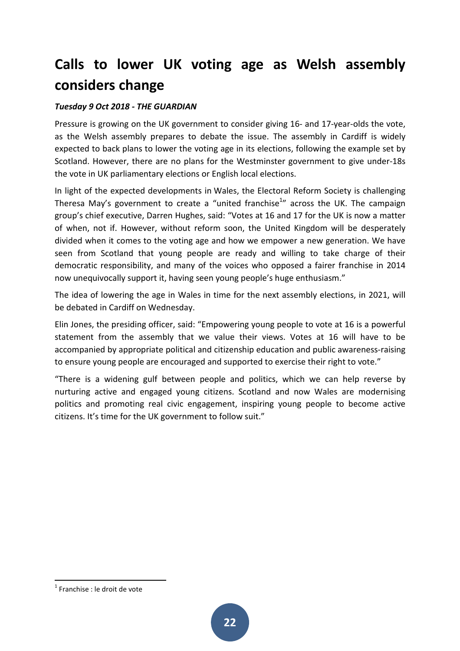### **Calls to lower UK voting age as Welsh assembly considers change**

### *Tuesday 9 Oct 2018 - THE GUARDIAN*

Pressure is growing on the UK government to consider giving 16- and 17-year-olds the vote, as the Welsh assembly prepares to debate the issue. The assembly in Cardiff is widely expected to back plans to lower the voting age in its elections, following the example set by Scotland. However, there are no plans for the Westminster government to give under-18s the vote in UK parliamentary elections or English local elections.

In light of the expected developments in Wales, the Electoral Reform Society is challenging Theresa May's government to create a "united franchise<sup>1</sup>" across the UK. The campaign group's chief executive, Darren Hughes, said: "Votes at 16 and 17 for the UK is now a matter of when, not if. However, without reform soon, the United Kingdom will be desperately divided when it comes to the voting age and how we empower a new generation. We have seen from Scotland that young people are ready and willing to take charge of their democratic responsibility, and many of the voices who opposed a fairer franchise in 2014 now unequivocally support it, having seen young people's huge enthusiasm."

The idea of lowering the age in Wales in time for the next assembly elections, in 2021, will be debated in Cardiff on Wednesday.

Elin Jones, the presiding officer, said: "Empowering young people to vote at 16 is a powerful statement from the assembly that we value their views. Votes at 16 will have to be accompanied by appropriate political and citizenship education and public awareness-raising to ensure young people are encouraged and supported to exercise their right to vote."

"There is a widening gulf between people and politics, which we can help reverse by nurturing active and engaged young citizens. Scotland and now Wales are modernising politics and promoting real civic engagement, inspiring young people to become active citizens. It's time for the UK government to follow suit."

 $1$  Franchise : le droit de vote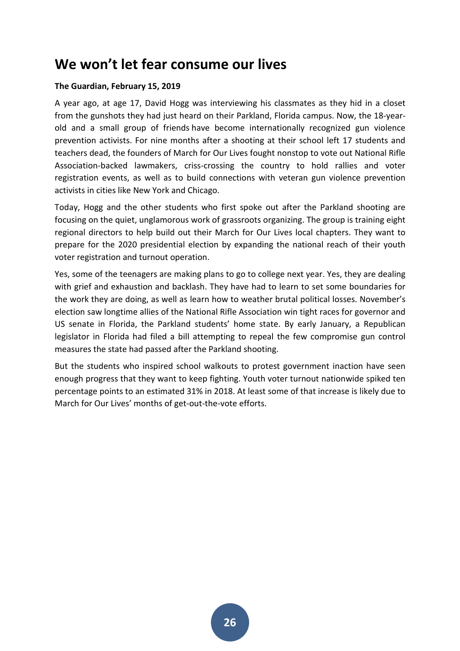### **We won't let fear consume our lives**

#### **The Guardian, February 15, 2019**

A year ago, at age 17, David Hogg was interviewing his classmates as they hid in a closet from the gunshots they had just heard on their Parkland, Florida campus. Now, the 18-yearold and a small group of friends have become internationally recognized gun violence prevention activists. For nine months after a shooting at their school left 17 students and teachers dead, the founders of March for Our Lives fought nonstop to vote out National Rifle Association-backed lawmakers, criss-crossing the country to hold rallies and voter registration events, as well as to build connections with veteran gun violence prevention activists in cities like New York and Chicago.

Today, Hogg and the other students who first spoke out after the Parkland shooting are focusing on the quiet, unglamorous work of grassroots organizing. The group is training eight regional directors to help build out their March for Our Lives local chapters. They want to prepare for the 2020 presidential election by expanding the national reach of their youth voter registration and turnout operation.

Yes, some of the teenagers are making plans to go to college next year. Yes, they are dealing with grief and exhaustion and backlash. They have had to learn to set some boundaries for the work they are doing, as well as learn how to weather brutal political losses. November's election saw longtime allies of the National Rifle Association win tight races for governor and US senate in Florida, the Parkland students' home state. By early January, a Republican legislator in Florida had filed a bill attempting to repeal the few compromise gun control measures the state had passed after the Parkland shooting.

But the students who inspired school walkouts to protest government inaction have seen enough progress that they want to keep fighting. Youth voter turnout nationwide spiked ten percentage points to an estimated 31% in 2018. At least some of that increase is likely due to March for Our Lives' months of get-out-the-vote efforts.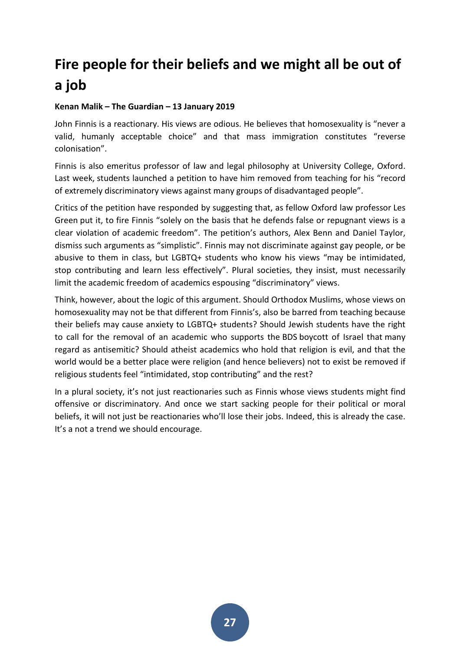# **Fire people for their beliefs and we might all be out of a job**

### **Kenan Malik – The Guardian – 13 January 2019**

John Finnis is a reactionary. His views are odious. He believes that homosexuality is "never a valid, humanly acceptable choice" and that mass immigration constitutes "reverse colonisation".

Finnis is also emeritus professor of law and legal philosophy at University College, Oxford. Last week, students launched a petition to have him removed from teaching for his "record of extremely discriminatory views against many groups of disadvantaged people".

Critics of the petition have responded by suggesting that, as fellow Oxford law professor Les Green put it, to fire Finnis "solely on the basis that he defends false or repugnant views is a clear violation of academic freedom". The petition's authors, Alex Benn and Daniel Taylor, dismiss such arguments as "simplistic". Finnis may not discriminate against gay people, or be abusive to them in class, but LGBTQ+ students who know his views "may be intimidated, stop contributing and learn less effectively". Plural societies, they insist, must necessarily limit the academic freedom of academics espousing "discriminatory" views.

Think, however, about the logic of this argument. Should Orthodox Muslims, whose views on homosexuality may not be that different from Finnis's, also be barred from teaching because their beliefs may cause anxiety to LGBTQ+ students? Should Jewish students have the right to call for the removal of an academic who supports the BDS boycott of Israel that many regard as antisemitic? Should atheist academics who hold that religion is evil, and that the world would be a better place were religion (and hence believers) not to exist be removed if religious students feel "intimidated, stop contributing" and the rest?

In a plural society, it's not just reactionaries such as Finnis whose views students might find offensive or discriminatory. And once we start sacking people for their political or moral beliefs, it will not just be reactionaries who'll lose their jobs. Indeed, this is already the case. It's a not a trend we should encourage.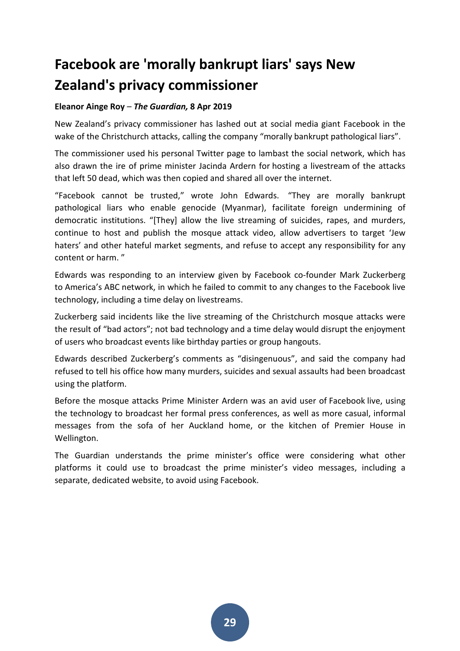## **Facebook are 'morally bankrupt liars' says New Zealand's privacy commissioner**

### **Eleanor Ainge Roy** *– The Guardian,* **8 Apr 2019**

New Zealand's privacy commissioner has lashed out at social media giant Facebook in the wake of the Christchurch attacks, calling the company "morally bankrupt pathological liars".

The commissioner used his personal Twitter page to lambast the social network, which has also drawn the ire of prime minister Jacinda Ardern for hosting a livestream of the attacks that left 50 dead, which was then copied and shared all over the internet.

"Facebook cannot be trusted," wrote John Edwards. "They are morally bankrupt pathological liars who enable genocide (Myanmar), facilitate foreign undermining of democratic institutions. "[They] allow the live streaming of suicides, rapes, and murders, continue to host and publish the mosque attack video, allow advertisers to target 'Jew haters' and other hateful market segments, and refuse to accept any responsibility for any content or harm. "

Edwards was responding to an interview given by Facebook co-founder Mark Zuckerberg to America's ABC network, in which he failed to commit to any changes to the Facebook live technology, including a time delay on livestreams.

Zuckerberg said incidents like the live streaming of the Christchurch mosque attacks were the result of "bad actors"; not bad technology and a time delay would disrupt the enjoyment of users who broadcast events like birthday parties or group hangouts.

Edwards described Zuckerberg's comments as "disingenuous", and said the company had refused to tell his office how many murders, suicides and sexual assaults had been broadcast using the platform.

Before the mosque attacks Prime Minister Ardern was an avid user of Facebook live, using the technology to broadcast her formal press conferences, as well as more casual, informal messages from the sofa of her Auckland home, or the kitchen of Premier House in Wellington.

The Guardian understands the prime minister's office were considering what other platforms it could use to broadcast the prime minister's video messages, including a separate, dedicated website, to avoid using Facebook.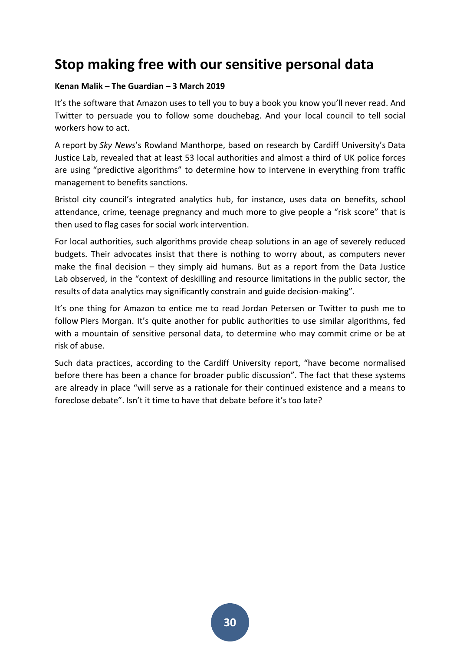### **Stop making free with our sensitive personal data**

#### **Kenan Malik – The Guardian – 3 March 2019**

It's the software that Amazon uses to tell you to buy a book you know you'll never read. And Twitter to persuade you to follow some douchebag. And your local council to tell social workers how to act.

A report by *Sky News*'s Rowland Manthorpe, based on research by Cardiff University's Data Justice Lab, revealed that at least 53 local authorities and almost a third of UK police forces are using "predictive algorithms" to determine how to intervene in everything from traffic management to benefits sanctions.

Bristol city council's integrated analytics hub, for instance, uses data on benefits, school attendance, crime, teenage pregnancy and much more to give people a "risk score" that is then used to flag cases for social work intervention.

For local authorities, such algorithms provide cheap solutions in an age of severely reduced budgets. Their advocates insist that there is nothing to worry about, as computers never make the final decision – they simply aid humans. But as a report from the Data Justice Lab observed, in the "context of deskilling and resource limitations in the public sector, the results of data analytics may significantly constrain and guide decision-making".

It's one thing for Amazon to entice me to read Jordan Petersen or Twitter to push me to follow Piers Morgan. It's quite another for public authorities to use similar algorithms, fed with a mountain of sensitive personal data, to determine who may commit crime or be at risk of abuse.

Such data practices, according to the Cardiff University report, "have become normalised before there has been a chance for broader public discussion". The fact that these systems are already in place "will serve as a rationale for their continued existence and a means to foreclose debate". Isn't it time to have that debate before it's too late?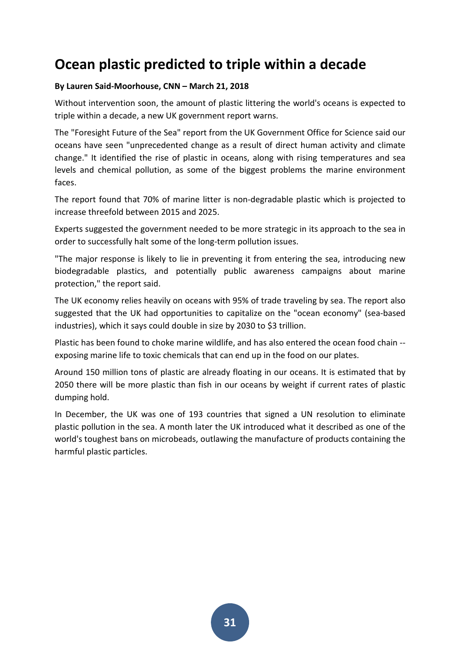### **Ocean plastic predicted to triple within a decade**

### **By Lauren Said-Moorhouse, CNN – March 21, 2018**

Without intervention soon, the amount of plastic littering the world's oceans is expected to triple within a decade, a new UK government report warns.

The "Foresight Future of the Sea" report from the UK Government Office for Science said our oceans have seen "unprecedented change as a result of direct human activity and climate change." It identified the rise of plastic in oceans, along with rising temperatures and sea levels and chemical pollution, as some of the biggest problems the marine environment faces.

The report found that 70% of marine litter is non-degradable plastic which is projected to increase threefold between 2015 and 2025.

Experts suggested the government needed to be more strategic in its approach to the sea in order to successfully halt some of the long-term pollution issues.

"The major response is likely to lie in preventing it from entering the sea, introducing new biodegradable plastics, and potentially public awareness campaigns about marine protection," the report said.

The UK economy relies heavily on oceans with 95% of trade traveling by sea. The report also suggested that the UK had opportunities to capitalize on the "ocean economy" (sea-based industries), which it says could double in size by 2030 to \$3 trillion.

Plastic has been found to choke marine wildlife, and has also entered the ocean food chain - exposing marine life to toxic chemicals that can end up in the food on our plates.

Around 150 million tons of plastic are already floating in our oceans. It is estimated that by 2050 there will be more plastic than fish in our oceans by weight if current rates of plastic dumping hold.

In December, the UK was one of 193 countries that signed a UN resolution to eliminate plastic pollution in the sea. A month later the UK introduced what it described as one of the world's toughest bans on microbeads, outlawing the manufacture of products containing the harmful plastic particles.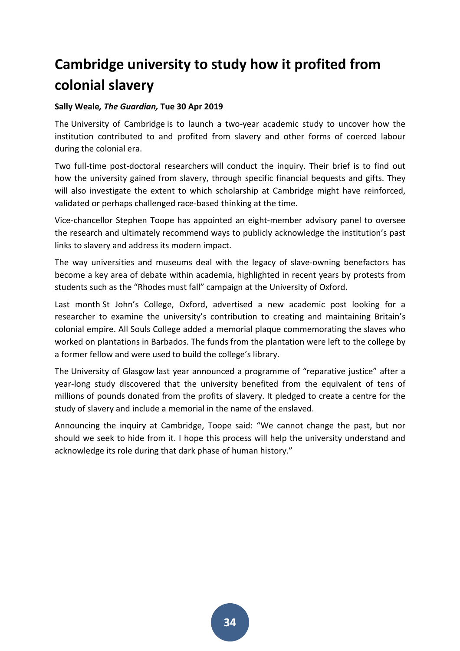## **Cambridge university to study how it profited from colonial slavery**

### **Sally Weale***, The Guardian,* **Tue 30 Apr 2019**

The University of Cambridge is to launch a two-year academic study to uncover how the institution contributed to and profited from slavery and other forms of coerced labour during the colonial era.

Two full-time post-doctoral researchers will conduct the inquiry. Their brief is to find out how the university gained from slavery, through specific financial bequests and gifts. They will also investigate the extent to which scholarship at Cambridge might have reinforced, validated or perhaps challenged race-based thinking at the time.

Vice-chancellor Stephen Toope has appointed an eight-member advisory panel to oversee the research and ultimately recommend ways to publicly acknowledge the institution's past links to slavery and address its modern impact.

The way universities and museums deal with the legacy of slave-owning benefactors has become a key area of debate within academia, highlighted in recent years by protests from students such as the "Rhodes must fall" campaign at the University of Oxford.

Last month St John's College, Oxford, advertised a new academic post looking for a researcher to examine the university's contribution to creating and maintaining Britain's colonial empire. All Souls College added a memorial plaque commemorating the slaves who worked on plantations in Barbados. The funds from the plantation were left to the college by a former fellow and were used to build the college's library.

The University of Glasgow last year announced a programme of "reparative justice" after a year-long study discovered that the university benefited from the equivalent of tens of millions of pounds donated from the profits of slavery. It pledged to create a centre for the study of slavery and include a memorial in the name of the enslaved.

Announcing the inquiry at Cambridge, Toope said: "We cannot change the past, but nor should we seek to hide from it. I hope this process will help the university understand and acknowledge its role during that dark phase of human history."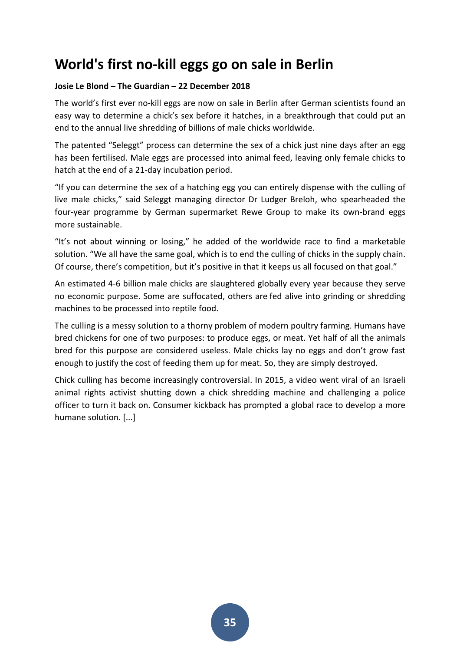### **World's first no-kill eggs go on sale in Berlin**

### **Josie Le Blond – The Guardian – 22 December 2018**

The world's first ever no-kill eggs are now on sale in Berlin after German scientists found an easy way to determine a chick's sex before it hatches, in a breakthrough that could put an end to the annual live shredding of billions of male chicks worldwide.

The patented "Seleggt" process can determine the sex of a chick just nine days after an egg has been fertilised. Male eggs are processed into animal feed, leaving only female chicks to hatch at the end of a 21-day incubation period.

"If you can determine the sex of a hatching egg you can entirely dispense with the culling of live male chicks," said Seleggt managing director Dr Ludger Breloh, who spearheaded the four-year programme by German supermarket Rewe Group to make its own-brand eggs more sustainable.

"It's not about winning or losing," he added of the worldwide race to find a marketable solution. "We all have the same goal, which is to end the culling of chicks in the supply chain. Of course, there's competition, but it's positive in that it keeps us all focused on that goal."

An estimated 4-6 billion male chicks are slaughtered globally every year because they serve no economic purpose. Some are suffocated, others are fed alive into grinding or shredding machines to be processed into reptile food.

The culling is a messy solution to a thorny problem of modern poultry farming. Humans have bred chickens for one of two purposes: to produce eggs, or meat. Yet half of all the animals bred for this purpose are considered useless. Male chicks lay no eggs and don't grow fast enough to justify the cost of feeding them up for meat. So, they are simply destroyed.

Chick culling has become increasingly controversial. In 2015, a video went viral of an Israeli animal rights activist shutting down a chick shredding machine and challenging a police officer to turn it back on. Consumer kickback has prompted a global race to develop a more humane solution. [...]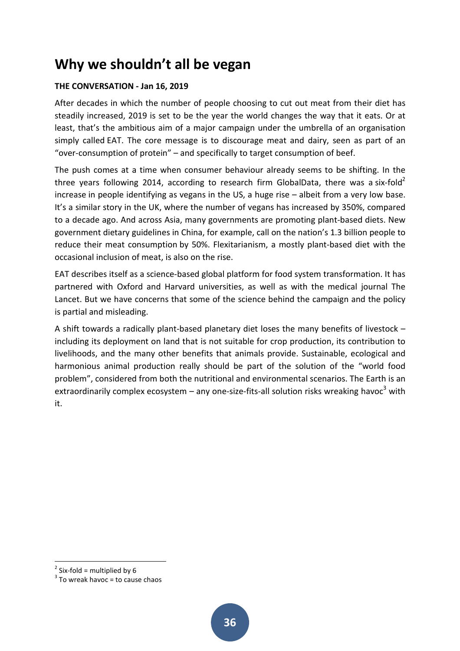### **Why we shouldn't all be vegan**

### **THE CONVERSATION - Jan 16, 2019**

After decades in which the number of people choosing to cut out meat from their diet has steadily increased, 2019 is set to be the year the world changes the way that it eats. Or at least, that's the ambitious aim of a major campaign under the umbrella of an organisation simply called EAT. The core message is to discourage meat and dairy, seen as part of an "over-consumption of protein" – and specifically to target consumption of beef.

The push comes at a time when consumer behaviour already seems to be shifting. In the three years following 2014, according to research firm GlobalData, there was a six-fold<sup>2</sup> increase in people identifying as vegans in the US, a huge rise – albeit from a very low base. It's a similar story in the UK, where the number of vegans has increased by 350%, compared to a decade ago. And across Asia, many governments are promoting plant-based diets. New government dietary guidelines in China, for example, call on the nation's 1.3 billion people to reduce their meat consumption by 50%. Flexitarianism, a mostly plant-based diet with the occasional inclusion of meat, is also on the rise.

EAT describes itself as a science-based global platform for food system transformation. It has partnered with Oxford and Harvard universities, as well as with the medical journal The Lancet. But we have concerns that some of the science behind the campaign and the policy is partial and misleading.

A shift towards a radically plant-based planetary diet loses the many benefits of livestock – including its deployment on land that is not suitable for crop production, its contribution to livelihoods, and the many other benefits that animals provide. Sustainable, ecological and harmonious animal production really should be part of the solution of the "world food problem", considered from both the nutritional and environmental scenarios. The Earth is an extraordinarily complex ecosystem – any one-size-fits-all solution risks wreaking havoc<sup>3</sup> with it.

 $2$  Six-fold = multiplied by 6

 $3$  To wreak havoc = to cause chaos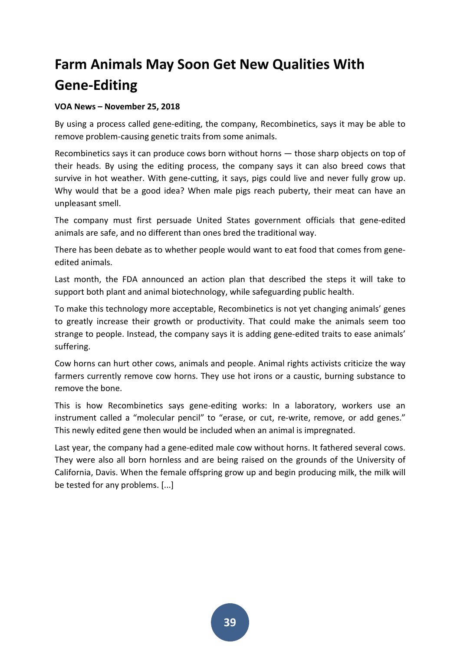## **Farm Animals May Soon Get New Qualities With Gene-Editing**

#### **VOA News – November 25, 2018**

By using a process called gene-editing, the company, Recombinetics, says it may be able to remove problem-causing genetic traits from some animals.

Recombinetics says it can produce cows born without horns — those sharp objects on top of their heads. By using the editing process, the company says it can also breed cows that survive in hot weather. With gene-cutting, it says, pigs could live and never fully grow up. Why would that be a good idea? When male pigs reach puberty, their meat can have an unpleasant smell.

The company must first persuade United States government officials that gene-edited animals are safe, and no different than ones bred the traditional way.

There has been debate as to whether people would want to eat food that comes from geneedited animals.

Last month, the FDA announced an action plan that described the steps it will take to support both plant and animal biotechnology, while safeguarding public health.

To make this technology more acceptable, Recombinetics is not yet changing animals' genes to greatly increase their growth or productivity. That could make the animals seem too strange to people. Instead, the company says it is adding gene-edited traits to ease animals' suffering.

Cow horns can hurt other cows, animals and people. Animal rights activists criticize the way farmers currently remove cow horns. They use hot irons or a caustic, burning substance to remove the bone.

This is how Recombinetics says gene-editing works: In a laboratory, workers use an instrument called a "molecular pencil" to "erase, or cut, re-write, remove, or add genes." This newly edited gene then would be included when an animal is impregnated.

Last year, the company had a gene-edited male cow without horns. It fathered several cows. They were also all born hornless and are being raised on the grounds of the University of California, Davis. When the female offspring grow up and begin producing milk, the milk will be tested for any problems. [...]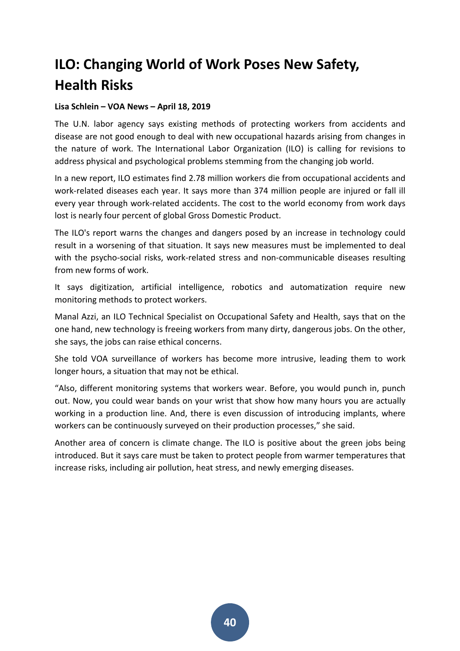## **ILO: Changing World of Work Poses New Safety, Health Risks**

#### **Lisa Schlein – VOA News – April 18, 2019**

The U.N. labor agency says existing methods of protecting workers from accidents and disease are not good enough to deal with new occupational hazards arising from changes in the nature of work. The International Labor Organization (ILO) is calling for revisions to address physical and psychological problems stemming from the changing job world.

In a new report, ILO estimates find 2.78 million workers die from occupational accidents and work-related diseases each year. It says more than 374 million people are injured or fall ill every year through work-related accidents. The cost to the world economy from work days lost is nearly four percent of global Gross Domestic Product.

The ILO's report warns the changes and dangers posed by an increase in technology could result in a worsening of that situation. It says new measures must be implemented to deal with the psycho-social risks, work-related stress and non-communicable diseases resulting from new forms of work.

It says digitization, artificial intelligence, robotics and automatization require new monitoring methods to protect workers.

Manal Azzi, an ILO Technical Specialist on Occupational Safety and Health, says that on the one hand, new technology is freeing workers from many dirty, dangerous jobs. On the other, she says, the jobs can raise ethical concerns.

She told VOA surveillance of workers has become more intrusive, leading them to work longer hours, a situation that may not be ethical.

"Also, different monitoring systems that workers wear. Before, you would punch in, punch out. Now, you could wear bands on your wrist that show how many hours you are actually working in a production line. And, there is even discussion of introducing implants, where workers can be continuously surveyed on their production processes," she said.

Another area of concern is climate change. The ILO is positive about the green jobs being introduced. But it says care must be taken to protect people from warmer temperatures that increase risks, including air pollution, heat stress, and newly emerging diseases.